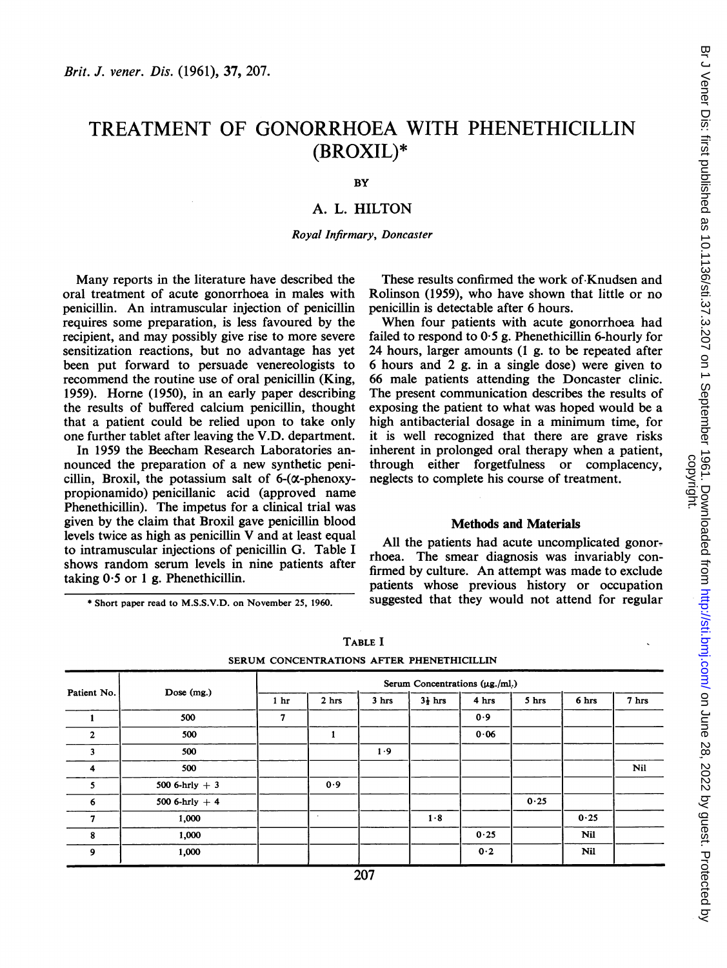# TREATMENT OF GONORRHOEA WITH PHENETHICILLIN (BROXIL)\*

BY

# A. L. HILTON

Royal Infirmary, Doncaster

Many reports in the literature have described the oral treatment of acute gonorrhoea in males with penicillin. An intramuscular injection of penicillin requires some preparation, is less favoured by the recipient, and may possibly give rise to more severe sensitization reactions, but no advantage has yet been put forward to persuade venereologists to recommend the routine use of oral penicillin (King, 1959). Horne (1950), in an early paper describing the results of buffered calcium penicillin, thought that a patient could be relied upon to take only one further tablet after leaving the V.D. department.

In 1959 the Beecham Research Laboratories announced the preparation of a new synthetic penicillin, Broxil, the potassium salt of  $6-(\alpha$ -phenoxypropionamido) penicillanic acid (approved name Phenethicillin). The impetus for a clinical trial was given by the claim that Broxil gave penicillin blood levels twice as high as penicillin V and at least equal to intramuscular injections of penicillin G. Table I shows random serum levels in nine patients after taking  $0.5$  or 1 g. Phenethicillin.

\* Short paper read to M.S.S.V.D. on November 25, 1960.

These results confirmed the work of Knudsen and Rolinson (1959), who have shown that little or no penicillin is detectable after 6 hours.

When four patients with acute gonorrhoea had failed to respond to 0'5 g. Phenethicillin 6-hourly for 24 hours, larger amounts (1 g. to be repeated after 6 hours and 2 g. in a single dose) were given to 66 male patients attending the Doncaster clinic. The present communication describes the results of exposing the patient to what was hoped would be a high antibacterial dosage in a minimum time, for it is well recognized that there are grave risks inherent in prolonged oral therapy when a patient, through either forgetfulness or complacency, neglects to complete his course of treatment.

#### Methods and Materials

All the patients had acute uncomplicated gonorrhoea. The smear diagnosis was invariably confirmed by culture. An attempt was made to exclude patients whose previous history or occupation suggested that they would not attend for regular

|                         | Dose (mg.)      | Serum Concentrations $(\mu g./ml.)$ |                  |       |                    |       |       |       |       |
|-------------------------|-----------------|-------------------------------------|------------------|-------|--------------------|-------|-------|-------|-------|
| Patient No.             |                 | 1 <sub>hr</sub>                     | 2 <sub>hrs</sub> | 3 hrs | $3\frac{1}{2}$ hrs | 4 hrs | 5 hrs | 6 hrs | 7 hrs |
|                         | 500             | 7                                   |                  |       |                    | 0.9   |       |       |       |
| $\mathbf{2}$            | 500             |                                     | л                |       |                    | 0.06  |       |       |       |
| $\overline{\mathbf{3}}$ | 500             |                                     |                  | 1.9   |                    |       |       |       |       |
| $\overline{\mathbf{4}}$ | 500             |                                     |                  |       |                    |       |       |       | Nil   |
| 5                       | 500 6-hrly $+3$ |                                     | 0.9              |       |                    |       |       |       |       |
| 6                       | 500 6-hrly $+4$ |                                     |                  |       |                    |       | 0.25  |       |       |
| $\overline{7}$          | 1,000           |                                     | ٠                |       | 1.8                |       |       | 0.25  |       |
| 8                       | 1,000           |                                     |                  |       |                    | 0.25  |       | Nil   |       |
| $\overline{9}$          | 1,000           |                                     |                  |       |                    | 0.2   |       | Nil   |       |

TABLE I SERUM CONCENTRATIONS AFTER PHENETHICILLIN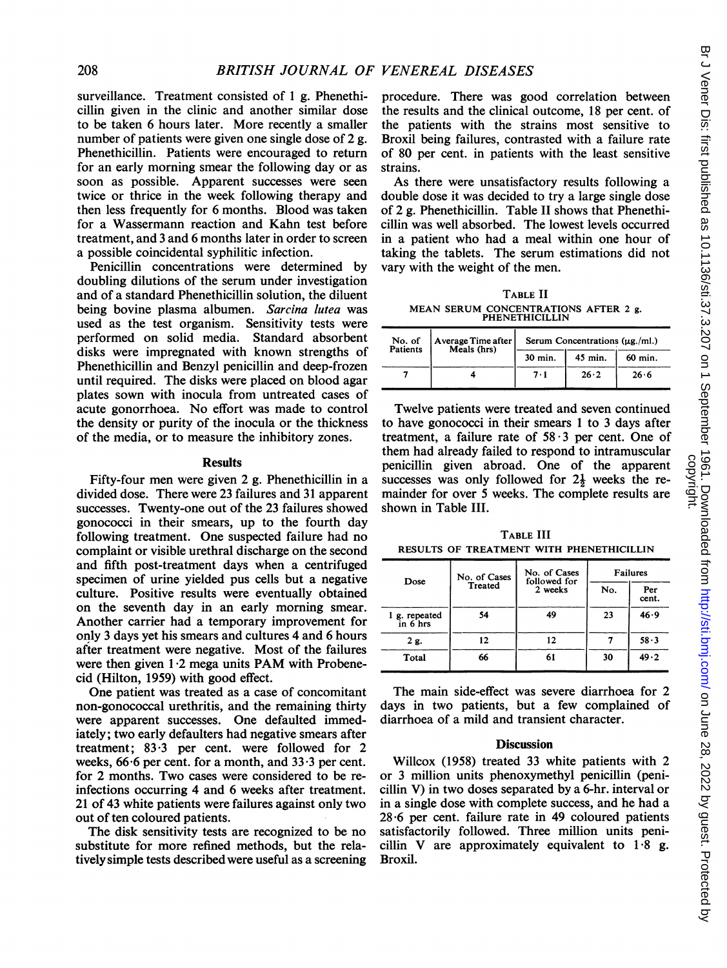surveillance. Treatment consisted of <sup>1</sup> g. Phenethicillin given in the clinic and another similar dose to be taken 6 hours later. More recently a smaller number of patients were given one single dose of 2 g. Phenethicillin. Patients were encouraged to return for an early morning smear the following day or as soon as possible. Apparent successes were seen twice or thrice in the week following therapy and then less frequently for 6 months. Blood was taken for a Wassermann reaction and Kahn test before treatment, and 3 and 6 months later in order to screen a possible coincidental syphilitic infection.

Penicillin concentrations were determined by doubling dilutions of the serum under investigation and of a standard Phenethicillin solution, the diluent being bovine plasma albumen. Sarcina lutea was used as the test organism. Sensitivity tests were performed on solid media. Standard absorbent disks were impregnated with known strengths of Phenethicillin and Benzyl penicillin and deep-frozen until required. The disks were placed on blood agar plates sown with inocula from untreated cases of acute gonorrhoea. No effort was made to control the density or purity of the inocula or the thickness of the media, or to measure the inhibitory zones.

### Results

Fifty-four men were given 2 g. Phenethicillin in a divided dose. There were 23 failures and 31 apparent successes. Twenty-one out of the 23 failures showed gonococci in their smears, up to the fourth day following treatment. One suspected failure had no complaint or visible urethral discharge on the second and fifth post-treatment days when a centrifuged specimen of urine yielded pus cells but a negative culture. Positive results were eventually obtained on the seventh day in an early morning smear. Another carrier had a temporary improvement for only 3 days yet his smears and cultures 4 and 6 hours after treatment were negative. Most of the failures were then given  $1.2$  mega units PAM with Probenecid (Hilton, 1959) with good effect.

One patient was treated as a case of concomitant non-gonococcal urethritis, and the remaining thirty were apparent successes. One defaulted immediately; two early defaulters had negative smears after treatment;  $83.3$  per cent. were followed for 2 weeks,  $66.6$  per cent. for a month, and  $33.3$  per cent. for 2 months. Two cases were considered to be reinfections occurring 4 and 6 weeks after treatment. <sup>21</sup> of 43 white patients were failures against only two out of ten coloured patients.

The disk sensitivity tests are recognized to be no substitute for more refined methods, but the relatively simple tests described were useful as a screening

procedure. There was good correlation between the results and the clinical outcome, 18 per cent. of the patients with the strains most sensitive to Broxil being failures, contrasted with a failure rate of 80 per cent. in patients with the least sensitive strains.

As there were unsatisfactory results following a double dose it was decided to try a large single dose of 2 g. Phenethicillin. Table II shows that Phenethicillin was well absorbed. The lowest levels occurred in a patient who had a meal within one hour of taking the tablets. The serum estimations did not vary with the weight of the men.

TABLE II MEAN SERUM CONCENTRATIONS AFTER <sup>2</sup> g. PHENETHICILLIN

| No. of<br>Patients | Average Time after<br>Meals (hrs) | Serum Concentrations $(\mu g./ml.)$ |         |         |  |  |
|--------------------|-----------------------------------|-------------------------------------|---------|---------|--|--|
|                    |                                   | 30 min.                             | 45 min. | 60 min. |  |  |
|                    |                                   | 7.1                                 | 26.2    | 26.6    |  |  |

Twelve patients were treated and seven continued to have gonococci in their smears <sup>1</sup> to 3 days after treatment, a failure rate of  $58 \cdot 3$  per cent. One of them had already failed to respond to intramuscular penicillin given abroad. One of the apparent successes was only followed for  $2\frac{1}{2}$  weeks the remainder for over 5 weeks. The complete results are shown in Table III.

TABLE III RESULTS OF TREATMENT WITH PHENETHICILLIN

| Dose                      | No. of Cases   | No. of Cases<br>followed for | <b>Failures</b> |              |  |
|---------------------------|----------------|------------------------------|-----------------|--------------|--|
|                           | <b>Treated</b> | 2 weeks                      | No.             | Per<br>cent. |  |
| 1 g. repeated<br>in 6 hrs | 54             | 49                           | 23              | 46.9         |  |
| 2 g.                      | 12             | 12                           |                 | 58.3         |  |
| Total                     | 66             | 61                           | 30              | 49.2         |  |

The main side-effect was severe diarrhoea for 2 days in two patients, but a few complained of diarrhoea of a mild and transient character.

#### **Discussion**

Willcox (1958) treated 33 white patients with 2 or 3 million units phenoxymethyl penicillin (penicillin V) in two doses separated by a 6-hr. interval or in a single dose with complete success, and he had a  $28.6$  per cent. failure rate in 49 coloured patients satisfactorily followed. Three million units penicillin V are approximately equivalent to  $1.8$  g. Broxil.